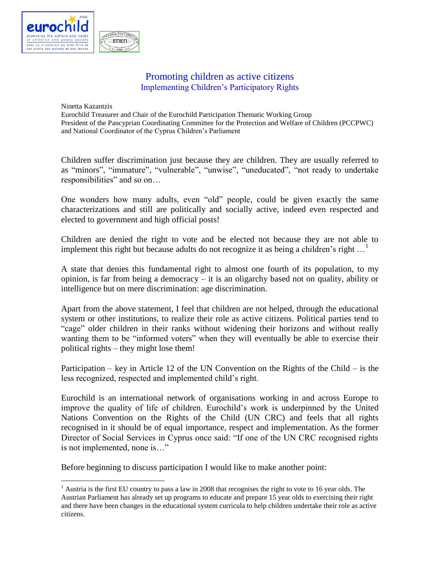

## Promoting children as active citizens Implementing Children's Participatory Rights

Ninetta Kazantzis

 $\overline{a}$ 

Eurochild Treasurer and Chair of the Eurochild Participation Thematic Working Group President of the Pancyprian Coordinating Committee for the Protection and Welfare of Children (PCCPWC) and National Coordinator of the Cyprus Children's Parliament

Children suffer discrimination just because they are children. They are usually referred to as "minors", "immature", "vulnerable", "unwise", "uneducated", "not ready to undertake responsibilities" and so on…

One wonders how many adults, even "old" people, could be given exactly the same characterizations and still are politically and socially active, indeed even respected and elected to government and high official posts!

Children are denied the right to vote and be elected not because they are not able to implement this right but because adults do not recognize it as being a children's right  $\dots$ <sup>1</sup>

A state that denies this fundamental right to almost one fourth of its population, to my opinion, is far from being a democracy – it is an oligarchy based not on quality, ability or intelligence but on mere discrimination: age discrimination.

Apart from the above statement, I feel that children are not helped, through the educational system or other institutions, to realize their role as active citizens. Political parties tend to "cage" older children in their ranks without widening their horizons and without really wanting them to be "informed voters" when they will eventually be able to exercise their political rights – they might lose them!

Participation – key in Article 12 of the UN Convention on the Rights of the Child – is the less recognized, respected and implemented child's right.

Eurochild is an international network of organisations working in and across Europe to improve the quality of life of children. Eurochild's work is underpinned by the United Nations Convention on the Rights of the Child (UN CRC) and feels that all rights recognised in it should be of equal importance, respect and implementation. As the former Director of Social Services in Cyprus once said: "If one of the UN CRC recognised rights is not implemented, none is…"

Before beginning to discuss participation I would like to make another point:

 $1$  Austria is the first EU country to pass a law in 2008 that recognises the right to vote to 16 year olds. The Austrian Parliament has already set up programs to educate and prepare 15 year olds to exercising their right and there have been changes in the educational system curricula to help children undertake their role as active citizens.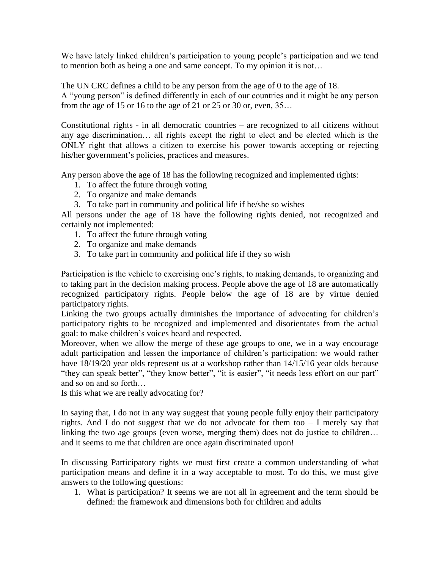We have lately linked children's participation to young people's participation and we tend to mention both as being a one and same concept. To my opinion it is not…

The UN CRC defines a child to be any person from the age of 0 to the age of 18. A "young person" is defined differently in each of our countries and it might be any person from the age of 15 or 16 to the age of 21 or 25 or 30 or, even, 35…

Constitutional rights - in all democratic countries – are recognized to all citizens without any age discrimination… all rights except the right to elect and be elected which is the ONLY right that allows a citizen to exercise his power towards accepting or rejecting his/her government's policies, practices and measures.

Any person above the age of 18 has the following recognized and implemented rights:

- 1. To affect the future through voting
- 2. To organize and make demands
- 3. To take part in community and political life if he/she so wishes

All persons under the age of 18 have the following rights denied, not recognized and certainly not implemented:

- 1. To affect the future through voting
- 2. To organize and make demands
- 3. To take part in community and political life if they so wish

Participation is the vehicle to exercising one's rights, to making demands, to organizing and to taking part in the decision making process. People above the age of 18 are automatically recognized participatory rights. People below the age of 18 are by virtue denied participatory rights.

Linking the two groups actually diminishes the importance of advocating for children's participatory rights to be recognized and implemented and disorientates from the actual goal: to make children's voices heard and respected.

Moreover, when we allow the merge of these age groups to one, we in a way encourage adult participation and lessen the importance of children's participation: we would rather have 18/19/20 year olds represent us at a workshop rather than 14/15/16 year olds because "they can speak better", "they know better", "it is easier", "it needs less effort on our part" and so on and so forth…

Is this what we are really advocating for?

In saying that, I do not in any way suggest that young people fully enjoy their participatory rights. And I do not suggest that we do not advocate for them too – I merely say that linking the two age groups (even worse, merging them) does not do justice to children… and it seems to me that children are once again discriminated upon!

In discussing Participatory rights we must first create a common understanding of what participation means and define it in a way acceptable to most. To do this, we must give answers to the following questions:

1. What is participation? It seems we are not all in agreement and the term should be defined: the framework and dimensions both for children and adults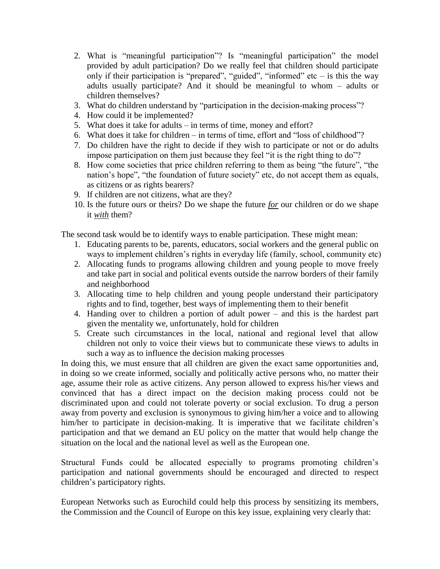- 2. What is "meaningful participation"? Is "meaningful participation" the model provided by adult participation? Do we really feel that children should participate only if their participation is "prepared", "guided", "informed" etc  $-$  is this the way adults usually participate? And it should be meaningful to whom – adults or children themselves?
- 3. What do children understand by "participation in the decision-making process"?
- 4. How could it be implemented?
- 5. What does it take for adults in terms of time, money and effort?
- 6. What does it take for children in terms of time, effort and "loss of childhood"?
- 7. Do children have the right to decide if they wish to participate or not or do adults impose participation on them just because they feel "it is the right thing to do"?
- 8. How come societies that price children referring to them as being "the future", "the nation's hope", "the foundation of future society" etc, do not accept them as equals, as citizens or as rights bearers?
- 9. If children are not citizens, what are they?
- 10. Is the future ours or theirs? Do we shape the future *for* our children or do we shape it *with* them?

The second task would be to identify ways to enable participation. These might mean:

- 1. Educating parents to be, parents, educators, social workers and the general public on ways to implement children's rights in everyday life (family, school, community etc)
- 2. Allocating funds to programs allowing children and young people to move freely and take part in social and political events outside the narrow borders of their family and neighborhood
- 3. Allocating time to help children and young people understand their participatory rights and to find, together, best ways of implementing them to their benefit
- 4. Handing over to children a portion of adult power and this is the hardest part given the mentality we, unfortunately, hold for children
- 5. Create such circumstances in the local, national and regional level that allow children not only to voice their views but to communicate these views to adults in such a way as to influence the decision making processes

In doing this, we must ensure that all children are given the exact same opportunities and, in doing so we create informed, socially and politically active persons who, no matter their age, assume their role as active citizens. Any person allowed to express his/her views and convinced that has a direct impact on the decision making process could not be discriminated upon and could not tolerate poverty or social exclusion. To drug a person away from poverty and exclusion is synonymous to giving him/her a voice and to allowing him/her to participate in decision-making. It is imperative that we facilitate children's participation and that we demand an EU policy on the matter that would help change the situation on the local and the national level as well as the European one.

Structural Funds could be allocated especially to programs promoting children's participation and national governments should be encouraged and directed to respect children's participatory rights.

European Networks such as Eurochild could help this process by sensitizing its members, the Commission and the Council of Europe on this key issue, explaining very clearly that: